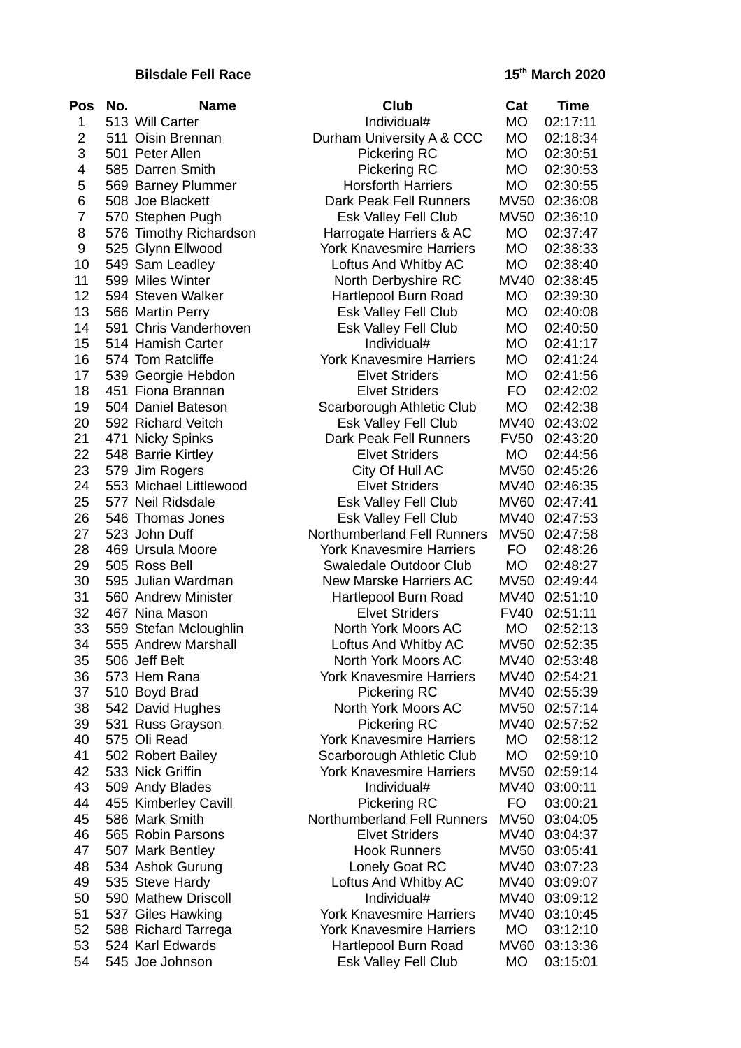## **Bilsdale Fell Race**

| <b>Pos</b>     | No. | <b>Name</b>                      | Club                                            | Cat         | <b>Time</b>               |
|----------------|-----|----------------------------------|-------------------------------------------------|-------------|---------------------------|
| 1              |     | 513 Will Carter                  | Individual#                                     | MO          | 02:17:11                  |
| $\overline{2}$ |     | 511 Oisin Brennan                | Durham University A & CCC                       | MO          | 02:18:34                  |
| 3              |     | 501 Peter Allen                  | Pickering RC                                    | MO          | 02:30:51                  |
| 4              |     | 585 Darren Smith                 | <b>Pickering RC</b>                             | MO          | 02:30:53                  |
| 5              |     | 569 Barney Plummer               | <b>Horsforth Harriers</b>                       | <b>MO</b>   | 02:30:55                  |
| 6              |     | 508 Joe Blackett                 | Dark Peak Fell Runners                          | <b>MV50</b> | 02:36:08                  |
| $\overline{7}$ |     | 570 Stephen Pugh                 | Esk Valley Fell Club                            | <b>MV50</b> | 02:36:10                  |
| 8              |     | 576 Timothy Richardson           | Harrogate Harriers & AC                         | <b>MO</b>   | 02:37:47                  |
| 9              |     | 525 Glynn Ellwood                | <b>York Knavesmire Harriers</b>                 | <b>MO</b>   | 02:38:33                  |
| 10             |     | 549 Sam Leadley                  | Loftus And Whitby AC                            | <b>MO</b>   | 02:38:40                  |
| 11             |     | 599 Miles Winter                 | North Derbyshire RC                             | MV40        | 02:38:45                  |
| 12             |     | 594 Steven Walker                | Hartlepool Burn Road                            | <b>MO</b>   | 02:39:30                  |
| 13             |     | 566 Martin Perry                 | Esk Valley Fell Club                            | <b>MO</b>   | 02:40:08                  |
| 14             |     | 591 Chris Vanderhoven            | Esk Valley Fell Club                            | MO          | 02:40:50                  |
| 15             |     | 514 Hamish Carter                | Individual#                                     | <b>MO</b>   | 02:41:17                  |
| 16             |     | 574 Tom Ratcliffe                | <b>York Knavesmire Harriers</b>                 | MO          | 02:41:24                  |
| 17             |     | 539 Georgie Hebdon               | <b>Elvet Striders</b>                           | MO          | 02:41:56                  |
| 18             |     | 451 Fiona Brannan                | <b>Elvet Striders</b>                           | FO          | 02:42:02                  |
| 19             |     | 504 Daniel Bateson               | Scarborough Athletic Club                       | MO          | 02:42:38                  |
| 20             |     | 592 Richard Veitch               | Esk Valley Fell Club                            | MV40        | 02:43:02                  |
| 21             |     | 471 Nicky Spinks                 | Dark Peak Fell Runners                          | <b>FV50</b> | 02:43:20                  |
| 22             |     | 548 Barrie Kirtley               | <b>Elvet Striders</b>                           | MO          | 02:44:56                  |
| 23             |     | 579 Jim Rogers                   | City Of Hull AC                                 | <b>MV50</b> | 02:45:26                  |
| 24             |     | 553 Michael Littlewood           | <b>Elvet Striders</b>                           | MV40        | 02:46:35                  |
| 25             |     | 577 Neil Ridsdale                | Esk Valley Fell Club                            | <b>MV60</b> | 02:47:41                  |
| 26             |     | 546 Thomas Jones                 | Esk Valley Fell Club                            | MV40        | 02:47:53                  |
| 27             |     | 523 John Duff                    | Northumberland Fell Runners                     | <b>MV50</b> | 02:47:58                  |
| 28             |     | 469 Ursula Moore                 | <b>York Knavesmire Harriers</b>                 | FO          | 02:48:26                  |
| 29             |     | 505 Ross Bell                    | Swaledale Outdoor Club                          | <b>MO</b>   | 02:48:27                  |
| 30             |     | 595 Julian Wardman               | New Marske Harriers AC                          |             | MV50 02:49:44             |
| 31             |     | 560 Andrew Minister              | Hartlepool Burn Road                            |             | MV40 02:51:10             |
| 32             |     | 467 Nina Mason                   | <b>Elvet Striders</b>                           | <b>FV40</b> | 02:51:11                  |
| 33             |     | 559 Stefan Mcloughlin            | North York Moors AC                             | <b>MO</b>   | 02:52:13                  |
| 34             |     | 555 Andrew Marshall              | Loftus And Whitby AC                            | <b>MV50</b> | 02:52:35                  |
| 35             |     | 506 Jeff Belt                    | North York Moors AC                             | MV40        | 02:53:48                  |
| 36             |     | 573 Hem Rana                     | <b>York Knavesmire Harriers</b>                 | MV40        | 02:54:21                  |
| 37             |     | 510 Boyd Brad                    | Pickering RC                                    |             | MV40 02:55:39             |
| 38             |     | 542 David Hughes                 | North York Moors AC                             |             | MV50 02:57:14             |
| 39<br>40       |     | 531 Russ Grayson<br>575 Oli Read | Pickering RC<br><b>York Knavesmire Harriers</b> | <b>MO</b>   | MV40 02:57:52<br>02:58:12 |
| 41             |     | 502 Robert Bailey                | Scarborough Athletic Club                       | MO          | 02:59:10                  |
| 42             |     | 533 Nick Griffin                 | <b>York Knavesmire Harriers</b>                 | <b>MV50</b> | 02:59:14                  |
| 43             |     | 509 Andy Blades                  | Individual#                                     | MV40        | 03:00:11                  |
| 44             |     | 455 Kimberley Cavill             | Pickering RC                                    | FO          | 03:00:21                  |
| 45             |     | 586 Mark Smith                   | Northumberland Fell Runners                     | MV50        | 03:04:05                  |
| 46             |     | 565 Robin Parsons                | <b>Elvet Striders</b>                           | MV40        | 03:04:37                  |
| 47             |     | 507 Mark Bentley                 | <b>Hook Runners</b>                             | MV50        | 03:05:41                  |
| 48             |     | 534 Ashok Gurung                 | Lonely Goat RC                                  | MV40        | 03:07:23                  |
| 49             |     | 535 Steve Hardy                  | Loftus And Whitby AC                            | MV40        | 03:09:07                  |
| 50             |     | 590 Mathew Driscoll              | Individual#                                     | MV40        | 03:09:12                  |
| 51             |     | 537 Giles Hawking                | <b>York Knavesmire Harriers</b>                 | MV40        | 03:10:45                  |
| 52             |     | 588 Richard Tarrega              | <b>York Knavesmire Harriers</b>                 | <b>MO</b>   | 03:12:10                  |
| 53             |     | 524 Karl Edwards                 | Hartlepool Burn Road                            | MV60        | 03:13:36                  |
| 54             |     | 545 Joe Johnson                  | Esk Valley Fell Club                            | MO          | 03:15:01                  |